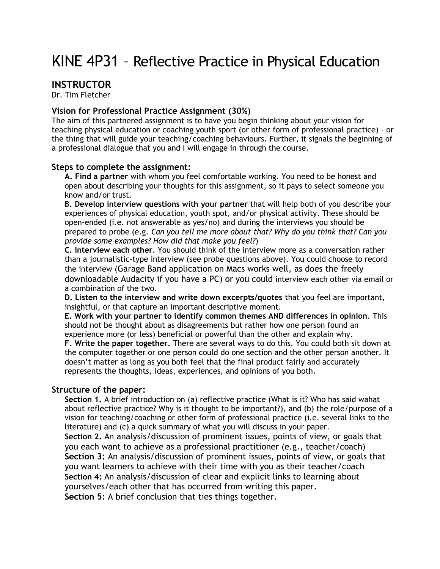# KINE 4P31 – Reflective Practice in Physical Education

# **INSTRUCTOR**

Dr. Tim Fletcher

## **Vision for Professional Practice Assignment (30%)**

The aim of this partnered assignment is to have you begin thinking about your vision for teaching physical education or coaching youth sport (or other form of professional practice) – or the thing that will guide your teaching/coaching behaviours. Further, it signals the beginning of a professional dialogue that you and I will engage in through the course.

#### **Steps to complete the assignment:**

**A. Find a partner** with whom you feel comfortable working. You need to be honest and open about describing your thoughts for this assignment, so it pays to select someone you know and/or trust.

**B. Develop interview questions with your partner** that will help both of you describe your experiences of physical education, youth spot, and/or physical activity. These should be open-ended (i.e. not answerable as yes/no) and during the interviews you should be prepared to probe (e.g. *Can you tell me more about that? Why do you think that? Can you provide some examples? How did that make you feel?*)

**C. Interview each other**. You should think of the interview more as a conversation rather than a journalistic-type interview (see probe questions above). You could choose to record the interview (Garage Band application on Macs works well, as does the freely downloadable Audacity if you have a PC) or you could interview each other via email or a combination of the two.

**D. Listen to the interview and write down excerpts/quotes** that you feel are important, insightful, or that capture an important descriptive moment.

**E. Work with your partner to identify common themes AND differences in opinion**. This should not be thought about as disagreements but rather how one person found an experience more (or less) beneficial or powerful than the other and explain why.

**F. Write the paper together.** There are several ways to do this. You could both sit down at the computer together or one person could do one section and the other person another. It doesn't matter as long as you both feel that the final product fairly and accurately represents the thoughts, ideas, experiences, and opinions of you both.

## **Structure of the paper:**

**Section 1.** A brief introduction on (a) reflective practice (What is it? Who has said wahat about reflective practice? Why is it thought to be important?), and (b) the role/purpose of a vision for teaching/coaching or other form of professional practice (i.e. several links to the literature) and (c) a quick summary of what you will discuss in your paper.

**Section 2.** An analysis/discussion of prominent issues, points of view, or goals that you each want to achieve as a professional practitioner (e.g., teacher/coach) **Section 3:** An analysis/discussion of prominent issues, points of view, or goals that you want learners to achieve with their time with you as their teacher/coach **Section 4:** An analysis/discussion of clear and explicit links to learning about yourselves/each other that has occurred from writing this paper. **Section 5:** A brief conclusion that ties things together.